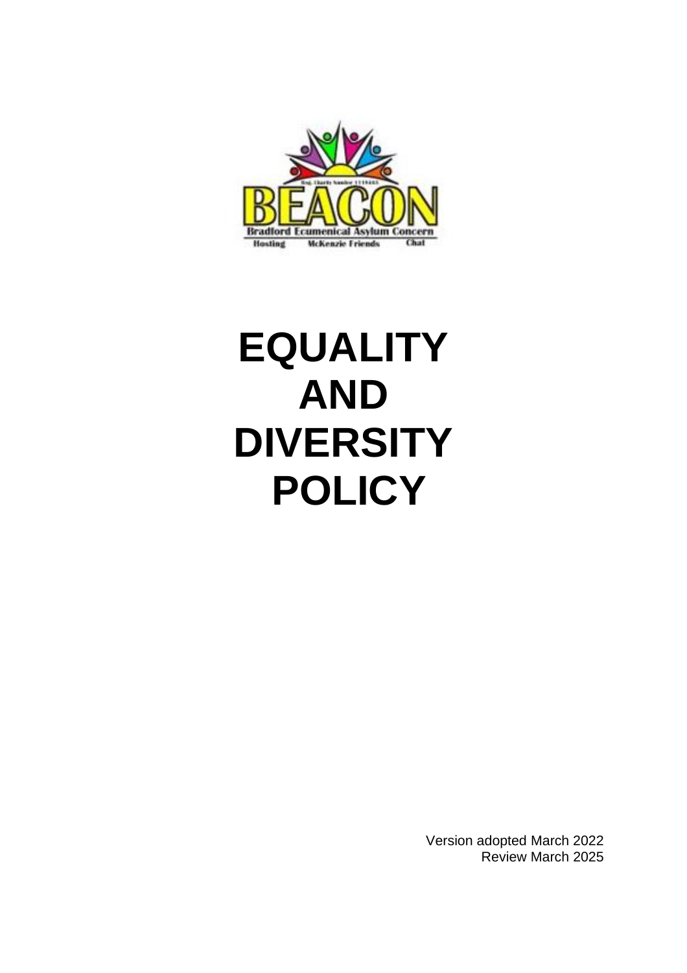

# **EQUALITY AND DIVERSITY POLICY**

Version adopted March 2022 Review March 2025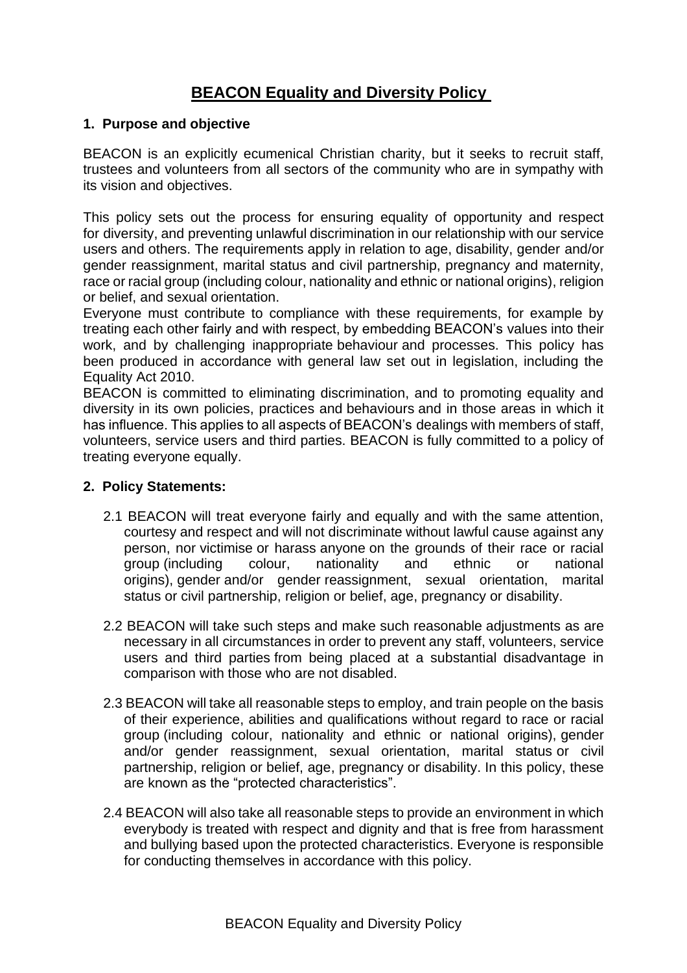# **BEACON Equality and Diversity Policy**

## **1. Purpose and objective**

BEACON is an explicitly ecumenical Christian charity, but it seeks to recruit staff, trustees and volunteers from all sectors of the community who are in sympathy with its vision and objectives.

This policy sets out the process for ensuring equality of opportunity and respect for diversity, and preventing unlawful discrimination in our relationship with our service users and others. The requirements apply in relation to age, disability, gender and/or gender reassignment, marital status and civil partnership, pregnancy and maternity, race or racial group (including colour, nationality and ethnic or national origins), religion or belief, and sexual orientation.

Everyone must contribute to compliance with these requirements, for example by treating each other fairly and with respect, by embedding BEACON's values into their work, and by challenging inappropriate behaviour and processes. This policy has been produced in accordance with general law set out in legislation, including the Equality Act 2010.

BEACON is committed to eliminating discrimination, and to promoting equality and diversity in its own policies, practices and behaviours and in those areas in which it has influence. This applies to all aspects of BEACON's dealings with members of staff, volunteers, service users and third parties. BEACON is fully committed to a policy of treating everyone equally.

## **2. Policy Statements:**

- 2.1 BEACON will treat everyone fairly and equally and with the same attention, courtesy and respect and will not discriminate without lawful cause against any person, nor victimise or harass anyone on the grounds of their race or racial group (including colour, nationality and ethnic or national origins), gender and/or gender reassignment, sexual orientation, marital status or civil partnership, religion or belief, age, pregnancy or disability.
- 2.2 BEACON will take such steps and make such reasonable adjustments as are necessary in all circumstances in order to prevent any staff, volunteers, service users and third parties from being placed at a substantial disadvantage in comparison with those who are not disabled.
- 2.3 BEACON will take all reasonable steps to employ, and train people on the basis of their experience, abilities and qualifications without regard to race or racial group (including colour, nationality and ethnic or national origins), gender and/or gender reassignment, sexual orientation, marital status or civil partnership, religion or belief, age, pregnancy or disability. In this policy, these are known as the "protected characteristics".
- 2.4 BEACON will also take all reasonable steps to provide an environment in which everybody is treated with respect and dignity and that is free from harassment and bullying based upon the protected characteristics. Everyone is responsible for conducting themselves in accordance with this policy.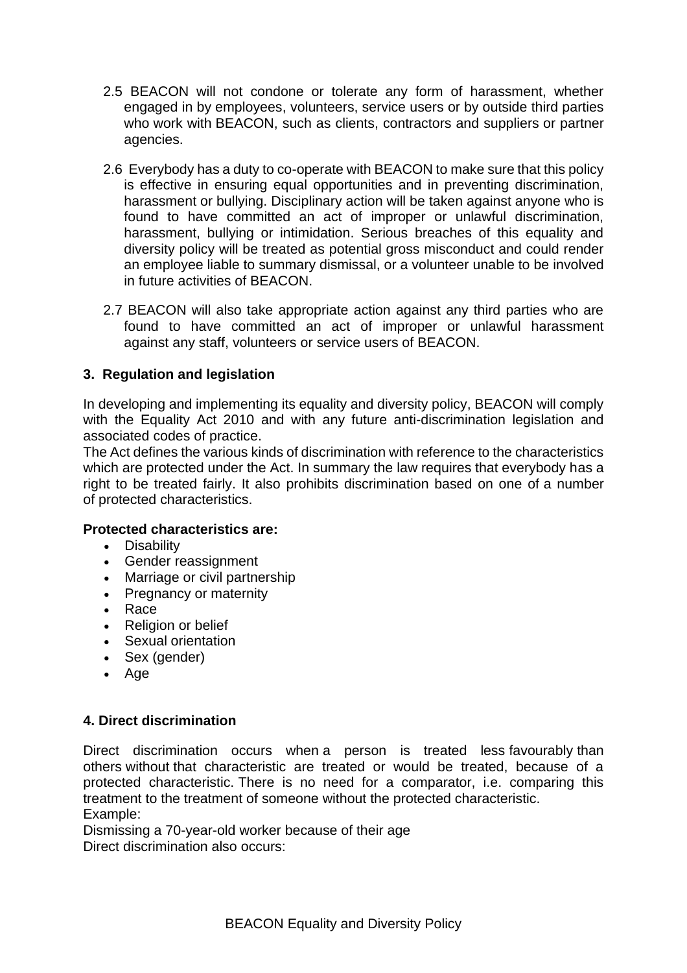- 2.5 BEACON will not condone or tolerate any form of harassment, whether engaged in by employees, volunteers, service users or by outside third parties who work with BEACON, such as clients, contractors and suppliers or partner agencies.
- 2.6 Everybody has a duty to co-operate with BEACON to make sure that this policy is effective in ensuring equal opportunities and in preventing discrimination, harassment or bullying. Disciplinary action will be taken against anyone who is found to have committed an act of improper or unlawful discrimination, harassment, bullying or intimidation. Serious breaches of this equality and diversity policy will be treated as potential gross misconduct and could render an employee liable to summary dismissal, or a volunteer unable to be involved in future activities of BEACON.
- 2.7 BEACON will also take appropriate action against any third parties who are found to have committed an act of improper or unlawful harassment against any staff, volunteers or service users of BEACON.

# **3. Regulation and legislation**

In developing and implementing its equality and diversity policy, BEACON will comply with the Equality Act 2010 and with any future anti-discrimination legislation and associated codes of practice.

The Act defines the various kinds of discrimination with reference to the characteristics which are protected under the Act. In summary the law requires that everybody has a right to be treated fairly. It also prohibits discrimination based on one of a number of protected characteristics.

#### **Protected characteristics are:**

- Disability
- Gender reassignment
- Marriage or civil partnership
- Pregnancy or maternity
- Race
- Religion or belief
- Sexual orientation
- Sex (gender)
- Age

#### **4. Direct discrimination**

Direct discrimination occurs when a person is treated less favourably than others without that characteristic are treated or would be treated, because of a protected characteristic. There is no need for a comparator, i.e. comparing this treatment to the treatment of someone without the protected characteristic. Example:

Dismissing a 70-year-old worker because of their age Direct discrimination also occurs: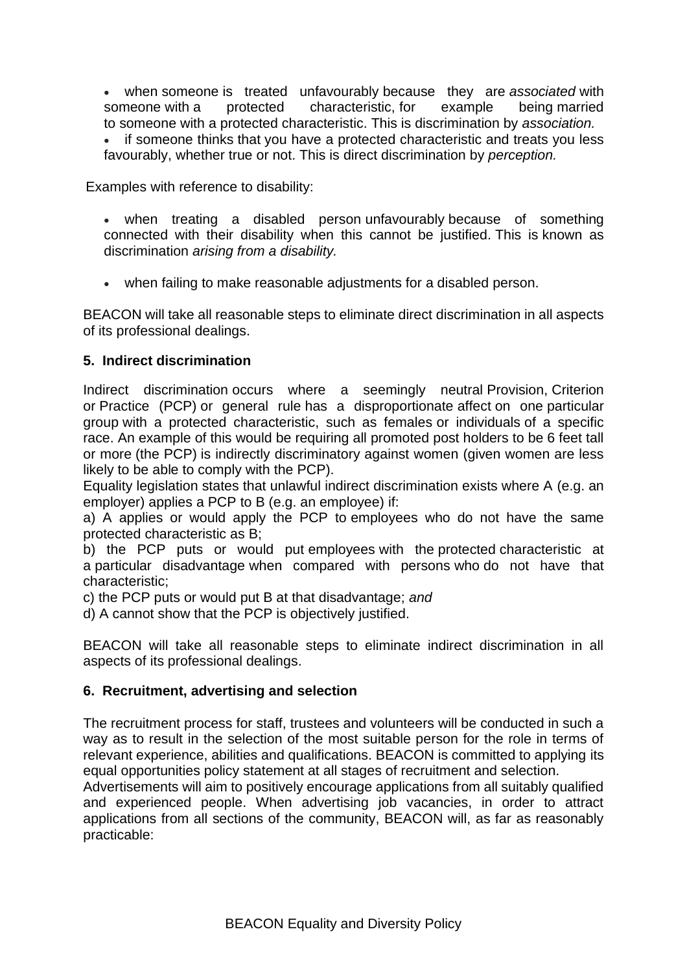• when someone is treated unfavourably because they are *associated* with someone with a protected characteristic, for example being married to someone with a protected characteristic. This is discrimination by *association.* • if someone thinks that you have a protected characteristic and treats you less favourably, whether true or not. This is direct discrimination by *perception.*

Examples with reference to disability:

- when treating a disabled person unfavourably because of something connected with their disability when this cannot be justified. This is known as discrimination *arising from a disability.*
- when failing to make reasonable adjustments for a disabled person.

BEACON will take all reasonable steps to eliminate direct discrimination in all aspects of its professional dealings.

#### **5. Indirect discrimination**

Indirect discrimination occurs where a seemingly neutral Provision, Criterion or Practice (PCP) or general rule has a disproportionate affect on one particular group with a protected characteristic, such as females or individuals of a specific race. An example of this would be requiring all promoted post holders to be 6 feet tall or more (the PCP) is indirectly discriminatory against women (given women are less likely to be able to comply with the PCP).

Equality legislation states that unlawful indirect discrimination exists where A (e.g. an employer) applies a PCP to B (e.g. an employee) if:

a) A applies or would apply the PCP to employees who do not have the same protected characteristic as B;

b) the PCP puts or would put employees with the protected characteristic at a particular disadvantage when compared with persons who do not have that characteristic;

c) the PCP puts or would put B at that disadvantage; *and*

d) A cannot show that the PCP is objectively justified.

BEACON will take all reasonable steps to eliminate indirect discrimination in all aspects of its professional dealings.

#### **6. Recruitment, advertising and selection**

The recruitment process for staff, trustees and volunteers will be conducted in such a way as to result in the selection of the most suitable person for the role in terms of relevant experience, abilities and qualifications. BEACON is committed to applying its equal opportunities policy statement at all stages of recruitment and selection.

Advertisements will aim to positively encourage applications from all suitably qualified and experienced people. When advertising job vacancies, in order to attract applications from all sections of the community, BEACON will, as far as reasonably practicable: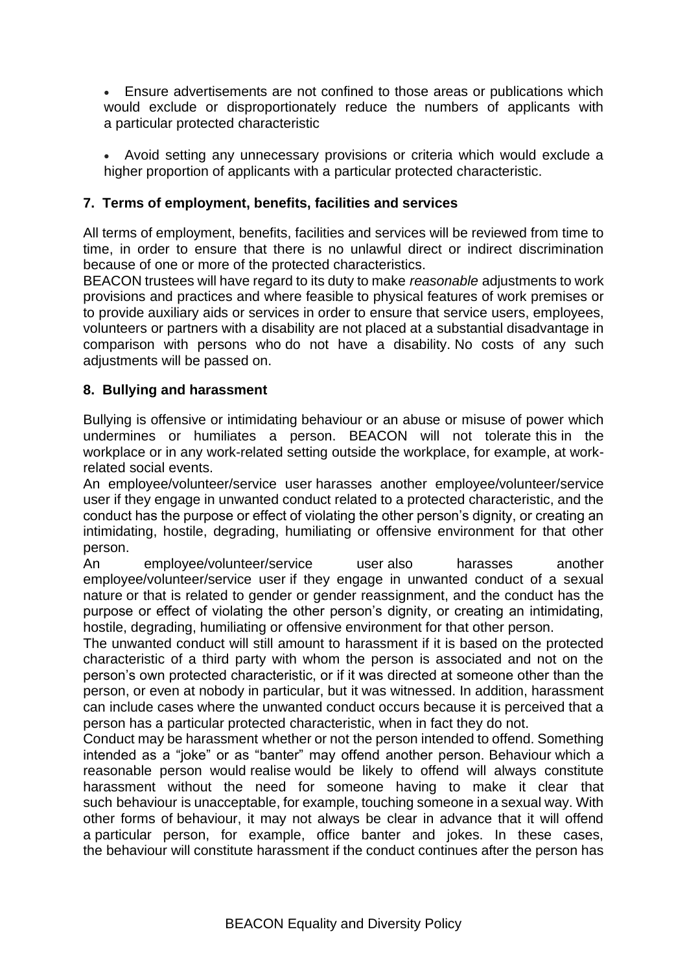• Ensure advertisements are not confined to those areas or publications which would exclude or disproportionately reduce the numbers of applicants with a particular protected characteristic

• Avoid setting any unnecessary provisions or criteria which would exclude a higher proportion of applicants with a particular protected characteristic.

# **7. Terms of employment, benefits, facilities and services**

All terms of employment, benefits, facilities and services will be reviewed from time to time, in order to ensure that there is no unlawful direct or indirect discrimination because of one or more of the protected characteristics.

BEACON trustees will have regard to its duty to make *reasonable* adjustments to work provisions and practices and where feasible to physical features of work premises or to provide auxiliary aids or services in order to ensure that service users, employees, volunteers or partners with a disability are not placed at a substantial disadvantage in comparison with persons who do not have a disability. No costs of any such adjustments will be passed on.

# **8. Bullying and harassment**

Bullying is offensive or intimidating behaviour or an abuse or misuse of power which undermines or humiliates a person. BEACON will not tolerate this in the workplace or in any work-related setting outside the workplace, for example, at workrelated social events.

An employee/volunteer/service user harasses another employee/volunteer/service user if they engage in unwanted conduct related to a protected characteristic, and the conduct has the purpose or effect of violating the other person's dignity, or creating an intimidating, hostile, degrading, humiliating or offensive environment for that other person.

An employee/volunteer/service user also harasses another employee/volunteer/service user if they engage in unwanted conduct of a sexual nature or that is related to gender or gender reassignment, and the conduct has the purpose or effect of violating the other person's dignity, or creating an intimidating, hostile, degrading, humiliating or offensive environment for that other person.

The unwanted conduct will still amount to harassment if it is based on the protected characteristic of a third party with whom the person is associated and not on the person's own protected characteristic, or if it was directed at someone other than the person, or even at nobody in particular, but it was witnessed. In addition, harassment can include cases where the unwanted conduct occurs because it is perceived that a person has a particular protected characteristic, when in fact they do not.

Conduct may be harassment whether or not the person intended to offend. Something intended as a "joke" or as "banter" may offend another person. Behaviour which a reasonable person would realise would be likely to offend will always constitute harassment without the need for someone having to make it clear that such behaviour is unacceptable, for example, touching someone in a sexual way. With other forms of behaviour, it may not always be clear in advance that it will offend a particular person, for example, office banter and jokes. In these cases, the behaviour will constitute harassment if the conduct continues after the person has